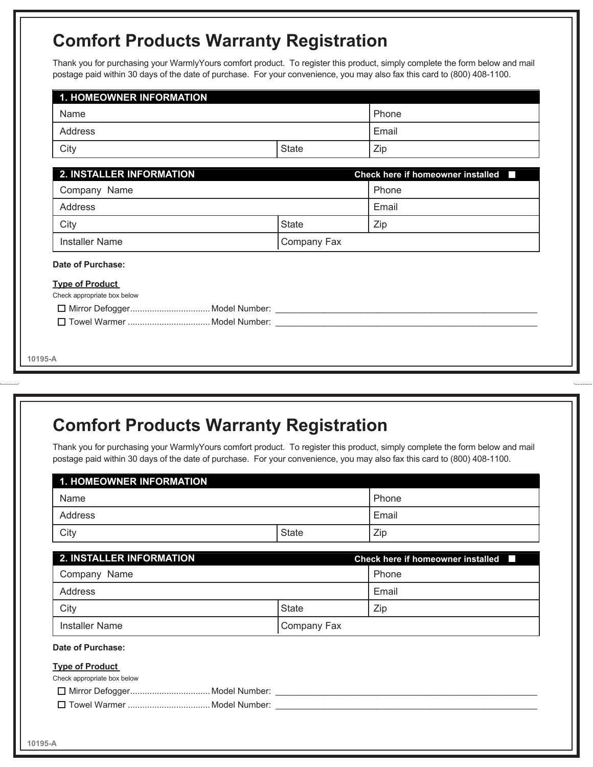## **Comfort Products Warranty Registration**

Thank you for purchasing your WarmlyYours comfort product. To register this product, simply complete the form below and mail postage paid within 30 days of the date of purchase. For your convenience, you may also fax this card to (800) 408-1100.

| Name         |                                             |
|--------------|---------------------------------------------|
| Address      |                                             |
| <b>State</b> | Zip                                         |
|              | Check here if homeowner installed <b>In</b> |
| Company Name |                                             |
|              | Email                                       |
| <b>State</b> | Zip                                         |
| Company Fax  |                                             |
|              |                                             |
|              |                                             |
|              |                                             |

## **Comfort Products Warranty Registration**

Thank you for purchasing your WarmlyYours comfort product. To register this product, simply complete the form below and mail postage paid within 30 days of the date of purchase. For your convenience, you may also fax this card to (800) 408-1100.

| Name                        |  |              | Phone |                                                          |
|-----------------------------|--|--------------|-------|----------------------------------------------------------|
| Address                     |  |              | Email |                                                          |
| City                        |  | <b>State</b> |       | Zip                                                      |
| 2. INSTALLER INFORMATION    |  |              |       | <b>Check here if homeowner installed</b><br>$\mathbf{I}$ |
| Company Name                |  |              | Phone |                                                          |
| Address                     |  |              |       | Email                                                    |
| City                        |  | <b>State</b> |       | Zip                                                      |
| <b>Installer Name</b>       |  | Company Fax  |       |                                                          |
| Date of Purchase:           |  |              |       |                                                          |
| <b>Type of Product</b>      |  |              |       |                                                          |
| Check appropriate box below |  |              |       |                                                          |
|                             |  |              |       |                                                          |
|                             |  |              |       |                                                          |